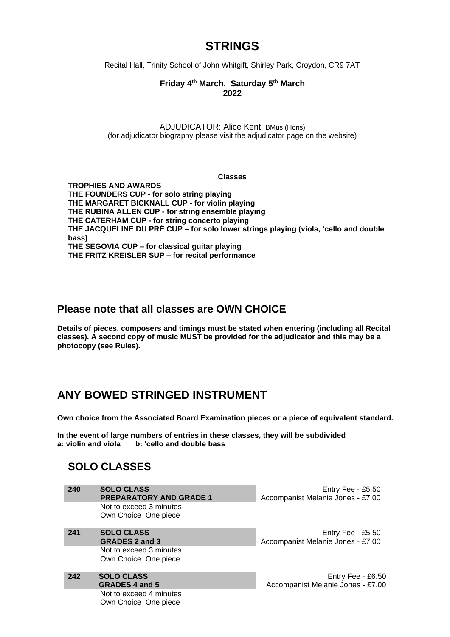# **STRINGS**

Recital Hall, Trinity School of John Whitgift, Shirley Park, Croydon, CR9 7AT

#### **Friday 4 th March, Saturday 5 th March 2022**

ADJUDICATOR: Alice Kent BMus (Hons) (for adjudicator biography please visit the adjudicator page on the website)

#### **Classes**

**TROPHIES AND AWARDS THE FOUNDERS CUP - for solo string playing THE MARGARET BICKNALL CUP - for violin playing THE RUBINA ALLEN CUP - for string ensemble playing THE CATERHAM CUP - for string concerto playing THE JACQUELINE DU PRÉ CUP – for solo lower strings playing (viola, 'cello and double bass) THE SEGOVIA CUP – for classical guitar playing THE FRITZ KREISLER SUP – for recital performance**

### **Please note that all classes are OWN CHOICE**

**Details of pieces, composers and timings must be stated when entering (including all Recital classes). A second copy of music MUST be provided for the adjudicator and this may be a photocopy (see Rules).**

## **ANY BOWED STRINGED INSTRUMENT**

**Own choice from the Associated Board Examination pieces or a piece of equivalent standard.**

**In the event of large numbers of entries in these classes, they will be subdivided a: violin and viola b: 'cello and double bass**

### **SOLO CLASSES**

| 240 | <b>SOLO CLASS</b><br><b>PREPARATORY AND GRADE 1</b> |
|-----|-----------------------------------------------------|
|     | Not to exceed 3 minutes<br>Own Choice One piece     |
| 241 | <b>SOLO CLASS</b>                                   |

**GRADES 2 and 3** Not to exceed 3 minutes Own Choice One piece

**242 SOLO CLASS GRADES 4 and 5** Not to exceed 4 minutes Own Choice One piece

Entry Fee - £5.50 Accompanist Melanie Jones - £7.00

Entry Fee - £5.50 Accompanist Melanie Jones - £7.00

Entry Fee - £6.50 Accompanist Melanie Jones - £7.00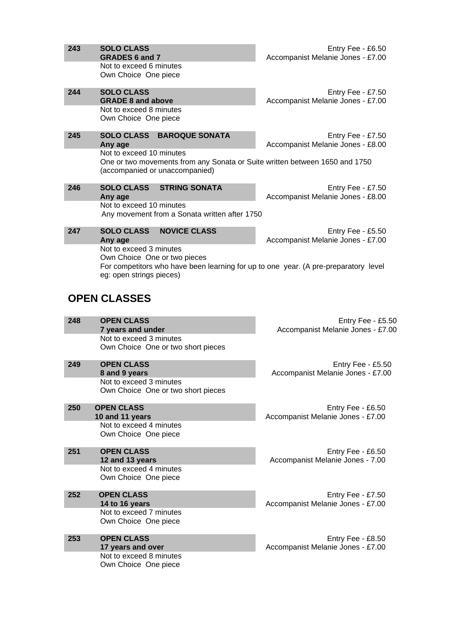| 243                 | <b>SOLO CLASS</b><br><b>GRADES 6 and 7</b>                                                                                                                                 | Entry Fee - £6.50<br>Accompanist Melanie Jones - £7.00 |  |  |
|---------------------|----------------------------------------------------------------------------------------------------------------------------------------------------------------------------|--------------------------------------------------------|--|--|
|                     | Not to exceed 6 minutes<br>Own Choice One piece                                                                                                                            |                                                        |  |  |
| 244                 | <b>SOLO CLASS</b><br><b>GRADE 8 and above</b>                                                                                                                              | Entry Fee - £7.50<br>Accompanist Melanie Jones - £7.00 |  |  |
|                     | Not to exceed 8 minutes<br>Own Choice One piece                                                                                                                            |                                                        |  |  |
| 245                 | <b>SOLO CLASS</b><br><b>BAROQUE SONATA</b><br>Any age                                                                                                                      | Entry Fee - £7.50<br>Accompanist Melanie Jones - £8.00 |  |  |
|                     | Not to exceed 10 minutes<br>One or two movements from any Sonata or Suite written between 1650 and 1750<br>(accompanied or unaccompanied)                                  |                                                        |  |  |
| 246                 | <b>SOLO CLASS</b><br><b>STRING SONATA</b><br>Any age                                                                                                                       | Entry Fee - £7.50<br>Accompanist Melanie Jones - £8.00 |  |  |
|                     | Not to exceed 10 minutes<br>Any movement from a Sonata written after 1750                                                                                                  |                                                        |  |  |
| 247                 | <b>SOLO CLASS</b><br><b>NOVICE CLASS</b><br>Any age                                                                                                                        | Entry Fee - £5.50<br>Accompanist Melanie Jones - £7.00 |  |  |
|                     | Not to exceed 3 minutes<br>Own Choice One or two pieces<br>For competitors who have been learning for up to one year. (A pre-preparatory level<br>eg: open strings pieces) |                                                        |  |  |
| <b>OPEN CLASSES</b> |                                                                                                                                                                            |                                                        |  |  |
|                     |                                                                                                                                                                            |                                                        |  |  |
| 248                 | <b>OPEN CLASS</b><br>7 years and under<br>Not to exceed 3 minutes                                                                                                          | Entry Fee - £5.50<br>Accompanist Melanie Jones - £7.00 |  |  |
|                     | Own Choice One or two short pieces                                                                                                                                         |                                                        |  |  |
| 249                 | <b>OPEN CLASS</b><br>8 and 9 years                                                                                                                                         | Entry Fee - £5.50<br>Accompanist Melanie Jones - £7.00 |  |  |
|                     | Not to exceed 3 minutes<br>Own Choice One or two short pieces                                                                                                              |                                                        |  |  |
| 250                 | <b>OPEN CLASS</b><br>10 and 11 years                                                                                                                                       | Entry Fee - £6.50<br>Accompanist Melanie Jones - £7.00 |  |  |
|                     | Not to exceed 4 minutes<br>Own Choice One piece                                                                                                                            |                                                        |  |  |
| 251                 | <b>OPEN CLASS</b><br>12 and 13 years                                                                                                                                       | Entry Fee - £6.50<br>Accompanist Melanie Jones - 7.00  |  |  |
|                     | Not to exceed 4 minutes<br>Own Choice One piece                                                                                                                            |                                                        |  |  |
| 252                 | <b>OPEN CLASS</b><br>14 to 16 years                                                                                                                                        | Entry Fee - £7.50<br>Accompanist Melanie Jones - £7.00 |  |  |
|                     | Not to exceed 7 minutes<br>Own Choice One piece                                                                                                                            |                                                        |  |  |
| 253                 | <b>OPEN CLASS</b><br>17 years and over<br>Not to exceed 8 minutes                                                                                                          | Entry Fee - £8.50<br>Accompanist Melanie Jones - £7.00 |  |  |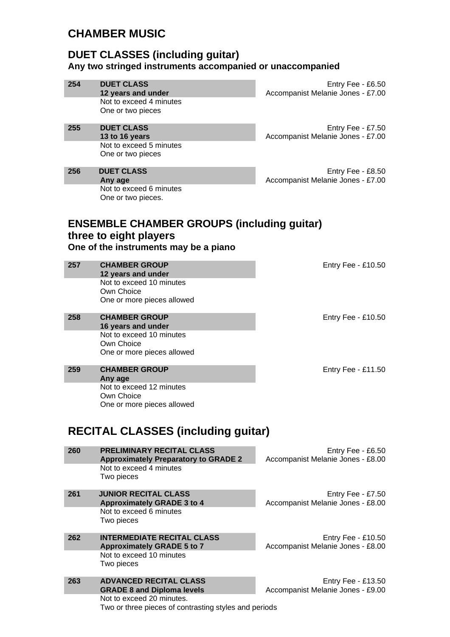## **CHAMBER MUSIC**

### **DUET CLASSES (including guitar) Any two stringed instruments accompanied or unaccompanied**

| 254 | <b>DUET CLASS</b><br>12 years and under                                | Entry Fee - £6.50<br>Accompanist Melanie Jones - £7.00 |
|-----|------------------------------------------------------------------------|--------------------------------------------------------|
|     | Not to exceed 4 minutes<br>One or two pieces                           |                                                        |
|     |                                                                        |                                                        |
| 255 | <b>DUET CLASS</b><br>13 to 16 years                                    | Entry Fee - £7.50<br>Accompanist Melanie Jones - £7.00 |
|     | Not to exceed 5 minutes<br>One or two pieces                           |                                                        |
|     |                                                                        |                                                        |
| 256 | <b>DUET CLASS</b><br>Any age                                           | Entry Fee - £8.50<br>Accompanist Melanie Jones - £7.00 |
|     | Not to exceed 6 minutes                                                |                                                        |
|     | One or two pieces.                                                     |                                                        |
|     | <b>ENSEMBLE CHAMBER GROUPS (including guitar)</b>                      |                                                        |
|     | three to eight players                                                 |                                                        |
|     | One of the instruments may be a piano                                  |                                                        |
| 257 | <b>CHAMBER GROUP</b>                                                   | Entry Fee - £10.50                                     |
|     | 12 years and under                                                     |                                                        |
|     | Not to exceed 10 minutes<br>Own Choice                                 |                                                        |
|     | One or more pieces allowed                                             |                                                        |
| 258 | <b>CHAMBER GROUP</b>                                                   | Entry Fee - £10.50                                     |
|     | 16 years and under<br>Not to exceed 10 minutes                         |                                                        |
|     | Own Choice<br>One or more pieces allowed                               |                                                        |
|     |                                                                        |                                                        |
| 259 | <b>CHAMBER GROUP</b><br>Any age                                        | Entry Fee - £11.50                                     |
|     | Not to exceed 12 minutes<br>Own Choice                                 |                                                        |
|     | One or more pieces allowed                                             |                                                        |
|     |                                                                        |                                                        |
|     | <b>RECITAL CLASSES (including guitar)</b>                              |                                                        |
| 260 | <b>PRELIMINARY RECITAL CLASS</b>                                       | Entry Fee - £6.50                                      |
|     | <b>Approximately Preparatory to GRADE 2</b><br>Not to exceed 4 minutes | Accompanist Melanie Jones - £8.00                      |
|     | Two pieces                                                             |                                                        |
| 261 | <b>JUNIOR RECITAL CLASS</b>                                            | Entry Fee - £7.50                                      |
|     | <b>Approximately GRADE 3 to 4</b><br>Not to exceed 6 minutes           | Accompanist Melanie Jones - £8.00                      |
|     | Two pieces                                                             |                                                        |
| 262 | <b>INTERMEDIATE RECITAL CLASS</b>                                      | Entry Fee - £10.50                                     |
|     | <b>Approximately GRADE 5 to 7</b><br>Not to exceed 10 minutes          | Accompanist Melanie Jones - £8.00                      |
|     | Two pieces                                                             |                                                        |
| 263 | <b>ADVANCED RECITAL CLASS</b>                                          | Entry Fee - £13.50                                     |
|     | <b>GRADE 8 and Diploma levels</b><br>Not to exceed 20 minutes.         | Accompanist Melanie Jones - £9.00                      |
|     | Two or three pieces of contrasting styles and periods                  |                                                        |